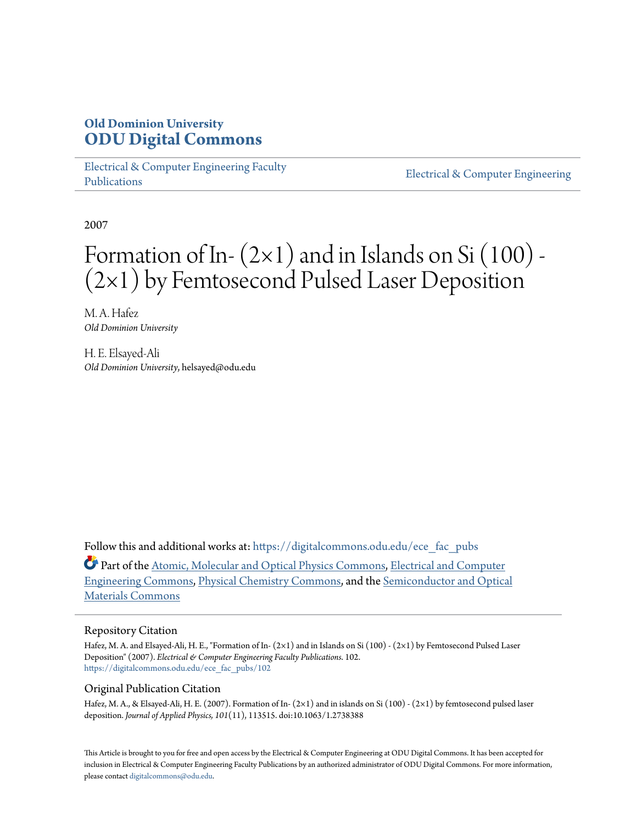## **Old Dominion University [ODU Digital Commons](https://digitalcommons.odu.edu?utm_source=digitalcommons.odu.edu%2Fece_fac_pubs%2F102&utm_medium=PDF&utm_campaign=PDFCoverPages)**

[Electrical & Computer Engineering Faculty](https://digitalcommons.odu.edu/ece_fac_pubs?utm_source=digitalcommons.odu.edu%2Fece_fac_pubs%2F102&utm_medium=PDF&utm_campaign=PDFCoverPages) [Publications](https://digitalcommons.odu.edu/ece_fac_pubs?utm_source=digitalcommons.odu.edu%2Fece_fac_pubs%2F102&utm_medium=PDF&utm_campaign=PDFCoverPages)

[Electrical & Computer Engineering](https://digitalcommons.odu.edu/ece?utm_source=digitalcommons.odu.edu%2Fece_fac_pubs%2F102&utm_medium=PDF&utm_campaign=PDFCoverPages)

2007

# Formation of In- $(2\times1)$  and in Islands on Si $(100)$  -(2×1) by Femtosecond Pulsed Laser Deposition

M. A. Hafez *Old Dominion University*

H. E. Elsayed-Ali *Old Dominion University*, helsayed@odu.edu

Follow this and additional works at: [https://digitalcommons.odu.edu/ece\\_fac\\_pubs](https://digitalcommons.odu.edu/ece_fac_pubs?utm_source=digitalcommons.odu.edu%2Fece_fac_pubs%2F102&utm_medium=PDF&utm_campaign=PDFCoverPages)

Part of the [Atomic, Molecular and Optical Physics Commons,](http://network.bepress.com/hgg/discipline/195?utm_source=digitalcommons.odu.edu%2Fece_fac_pubs%2F102&utm_medium=PDF&utm_campaign=PDFCoverPages) [Electrical and Computer](http://network.bepress.com/hgg/discipline/266?utm_source=digitalcommons.odu.edu%2Fece_fac_pubs%2F102&utm_medium=PDF&utm_campaign=PDFCoverPages) [Engineering Commons,](http://network.bepress.com/hgg/discipline/266?utm_source=digitalcommons.odu.edu%2Fece_fac_pubs%2F102&utm_medium=PDF&utm_campaign=PDFCoverPages) [Physical Chemistry Commons,](http://network.bepress.com/hgg/discipline/139?utm_source=digitalcommons.odu.edu%2Fece_fac_pubs%2F102&utm_medium=PDF&utm_campaign=PDFCoverPages) and the [Semiconductor and Optical](http://network.bepress.com/hgg/discipline/290?utm_source=digitalcommons.odu.edu%2Fece_fac_pubs%2F102&utm_medium=PDF&utm_campaign=PDFCoverPages) [Materials Commons](http://network.bepress.com/hgg/discipline/290?utm_source=digitalcommons.odu.edu%2Fece_fac_pubs%2F102&utm_medium=PDF&utm_campaign=PDFCoverPages)

#### Repository Citation

Hafez, M. A. and Elsayed-Ali, H. E., "Formation of In- (2×1) and in Islands on Si (100) - (2×1) by Femtosecond Pulsed Laser Deposition" (2007). *Electrical & Computer Engineering Faculty Publications*. 102. [https://digitalcommons.odu.edu/ece\\_fac\\_pubs/102](https://digitalcommons.odu.edu/ece_fac_pubs/102?utm_source=digitalcommons.odu.edu%2Fece_fac_pubs%2F102&utm_medium=PDF&utm_campaign=PDFCoverPages)

### Original Publication Citation

Hafez, M. A., & Elsayed-Ali, H. E. (2007). Formation of In- (2×1) and in islands on Si (100) - (2×1) by femtosecond pulsed laser deposition. *Journal of Applied Physics, 101*(11), 113515. doi:10.1063/1.2738388

This Article is brought to you for free and open access by the Electrical & Computer Engineering at ODU Digital Commons. It has been accepted for inclusion in Electrical & Computer Engineering Faculty Publications by an authorized administrator of ODU Digital Commons. For more information, please contact [digitalcommons@odu.edu](mailto:digitalcommons@odu.edu).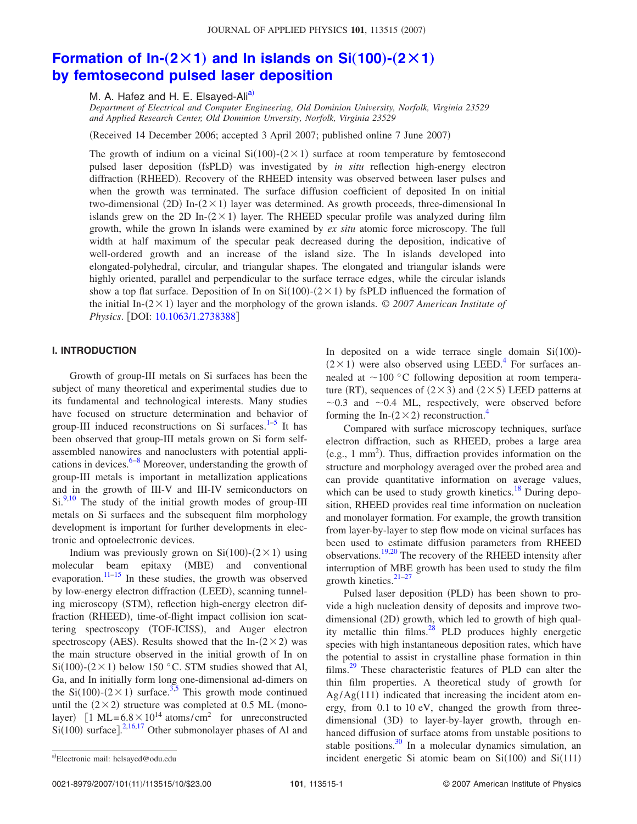## **Formation of In-** $(2 \times 1)$  [and In islands on Si](http://dx.doi.org/10.1063/1.2738388) $(100)$ - $(2 \times 1)$ **[by femtosecond pulsed laser deposition](http://dx.doi.org/10.1063/1.2738388)**

M. A. Hafez and H. E. Elsayed-Ali<sup>a)</sup>

*Department of Electrical and Computer Engineering, Old Dominion University, Norfolk, Virginia 23529 and Applied Research Center, Old Dominion Unversity, Norfolk, Virginia 23529*

Received 14 December 2006; accepted 3 April 2007; published online 7 June 2007-

The growth of indium on a vicinal  $Si(100)$ - $(2 \times 1)$  surface at room temperature by femtosecond pulsed laser deposition (fsPLD) was investigated by *in situ* reflection high-energy electron diffraction (RHEED). Recovery of the RHEED intensity was observed between laser pulses and when the growth was terminated. The surface diffusion coefficient of deposited In on initial two-dimensional (2D) In- $(2 \times 1)$  layer was determined. As growth proceeds, three-dimensional In islands grew on the 2D In- $(2 \times 1)$  layer. The RHEED specular profile was analyzed during film growth, while the grown In islands were examined by *ex situ* atomic force microscopy. The full width at half maximum of the specular peak decreased during the deposition, indicative of well-ordered growth and an increase of the island size. The In islands developed into elongated-polyhedral, circular, and triangular shapes. The elongated and triangular islands were highly oriented, parallel and perpendicular to the surface terrace edges, while the circular islands show a top flat surface. Deposition of In on  $Si(100)-(2\times1)$  by fsPLD influenced the formation of the initial In- $(2 \times 1)$  layer and the morphology of the grown islands.  $\odot$  2007 American Institute of *Physics*. [DOI: [10.1063/1.2738388](http://dx.doi.org/10.1063/1.2738388)]

#### **I. INTRODUCTION**

Growth of group-III metals on Si surfaces has been the subject of many theoretical and experimental studies due to its fundamental and technological interests. Many studies have focused on structure determination and behavior of group-III induced reconstructions on Si surfaces. $1-5$  $1-5$  It has been observed that group-III metals grown on Si form selfassembled nanowires and nanoclusters with potential applications in devices. $6-8$  Moreover, understanding the growth of group-III metals is important in metallization applications and in the growth of III-V and III-IV semiconductors on  $Si.<sup>9,10</sup>$  $Si.<sup>9,10</sup>$  $Si.<sup>9,10</sup>$  The study of the initial growth modes of group-III metals on Si surfaces and the subsequent film morphology development is important for further developments in electronic and optoelectronic devices.

Indium was previously grown on  $Si(100)-(2\times1)$  using molecular beam epitaxy (MBE) and conventional evaporation. $11-15$  In these studies, the growth was observed by low-energy electron diffraction (LEED), scanning tunneling microscopy (STM), reflection high-energy electron diffraction (RHEED), time-of-flight impact collision ion scattering spectroscopy (TOF-ICISS), and Auger electron spectroscopy (AES). Results showed that the In- $(2 \times 2)$  was the main structure observed in the initial growth of In on  $Si(100)$ - $(2 \times 1)$  below 150 °C. STM studies showed that Al, Ga, and In initially form long one-dimensional ad-dimers on the Si(100)-( $2 \times 1$ ) surface.<sup>3[,5](#page-9-1)</sup> This growth mode continued until the  $(2 \times 2)$  structure was completed at 0.5 ML (monolayer)  $[1 \text{ ML} = 6.8 \times 10^{14} \text{ atoms/cm}^2$  for unreconstructed  $Si(100)$  surface].<sup>[2](#page-9-9)[,16,](#page-9-10)[17](#page-9-11)</sup> Other submonolayer phases of Al and

In deposited on a wide terrace single domain  $Si(100)$ - $(2 \times 1)$  were also observed using LEED.<sup>4</sup> For surfaces annealed at  $\sim$ 100 °C following deposition at room temperature (RT), sequences of  $(2 \times 3)$  and  $(2 \times 5)$  LEED patterns at  $\sim$ 0.3 and  $\sim$ 0.4 ML, respectively, were observed before forming the In- $(2 \times 2)$  reconstruction.<sup>4</sup>

Compared with surface microscopy techniques, surface electron diffraction, such as RHEED, probes a large area (e.g., 1 mm<sup>2</sup>). Thus, diffraction provides information on the structure and morphology averaged over the probed area and can provide quantitative information on average values, which can be used to study growth kinetics. $18$  During deposition, RHEED provides real time information on nucleation and monolayer formation. For example, the growth transition from layer-by-layer to step flow mode on vicinal surfaces has been used to estimate diffusion parameters from RHEED observations.<sup>19[,20](#page-9-15)</sup> The recovery of the RHEED intensity after interruption of MBE growth has been used to study the film growth kinetics. $21-27$  $21-27$ 

Pulsed laser deposition (PLD) has been shown to provide a high nucleation density of deposits and improve twodimensional (2D) growth, which led to growth of high quality metallic thin films. $^{28}$  PLD produces highly energetic species with high instantaneous deposition rates, which have the potential to assist in crystalline phase formation in thin films[.29](#page-9-19) These characteristic features of PLD can alter the thin film properties. A theoretical study of growth for  $Ag/Ag(111)$  indicated that increasing the incident atom energy, from 0.1 to 10 eV, changed the growth from threedimensional (3D) to layer-by-layer growth, through enhanced diffusion of surface atoms from unstable positions to stable positions. $30 \text{ In a molecular dynamics simulation, an}$ a) Electronic mail: helsayed@odu.edu **and Similar incident energetic Si** atomic beam on  $Si(100)$  and  $Si(111)$ 

0021-8979/2007/101(11)/113515/10/\$23.00

<span id="page-1-0"></span>Electronic mail: helsayed@odu.edu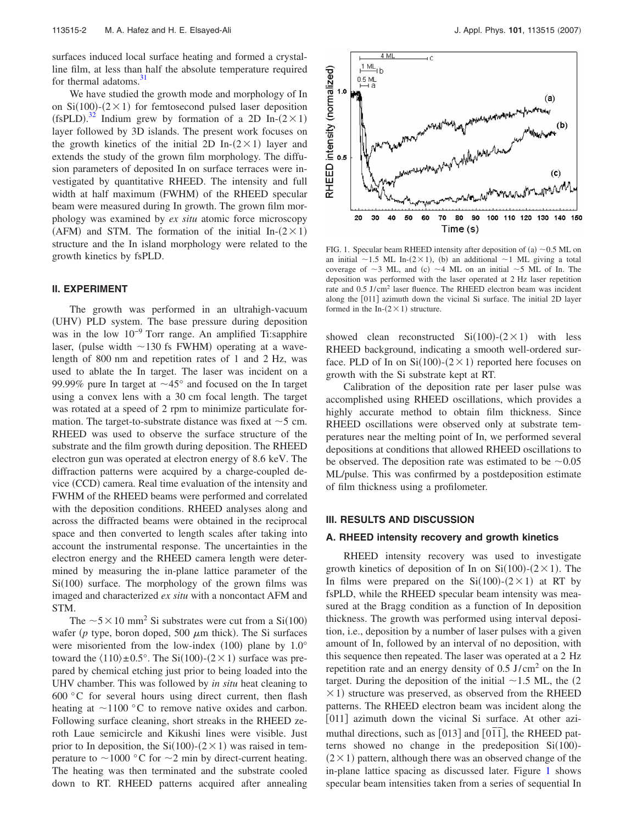surfaces induced local surface heating and formed a crystalline film, at less than half the absolute temperature required for thermal adatoms.<sup>31</sup>

We have studied the growth mode and morphology of In on Si $(100)$ - $(2 \times 1)$  for femtosecond pulsed laser deposition (fsPLD).<sup>[32](#page-9-22)</sup> Indium grew by formation of a 2D In- $(2 \times 1)$ layer followed by 3D islands. The present work focuses on the growth kinetics of the initial 2D In- $(2 \times 1)$  layer and extends the study of the grown film morphology. The diffusion parameters of deposited In on surface terraces were investigated by quantitative RHEED. The intensity and full width at half maximum (FWHM) of the RHEED specular beam were measured during In growth. The grown film morphology was examined by *ex situ* atomic force microscopy (AFM) and STM. The formation of the initial In- $(2 \times 1)$ structure and the In island morphology were related to the growth kinetics by fsPLD.

#### **II. EXPERIMENT**

The growth was performed in an ultrahigh-vacuum (UHV) PLD system. The base pressure during deposition was in the low 10−9 Torr range. An amplified Ti:sapphire laser, (pulse width  $\sim$ 130 fs FWHM) operating at a wavelength of 800 nm and repetition rates of 1 and 2 Hz, was used to ablate the In target. The laser was incident on a 99.99% pure In target at  $\sim$ 45° and focused on the In target using a convex lens with a 30 cm focal length. The target was rotated at a speed of 2 rpm to minimize particulate formation. The target-to-substrate distance was fixed at  $\sim$  5 cm. RHEED was used to observe the surface structure of the substrate and the film growth during deposition. The RHEED electron gun was operated at electron energy of 8.6 keV. The diffraction patterns were acquired by a charge-coupled device (CCD) camera. Real time evaluation of the intensity and FWHM of the RHEED beams were performed and correlated with the deposition conditions. RHEED analyses along and across the diffracted beams were obtained in the reciprocal space and then converted to length scales after taking into account the instrumental response. The uncertainties in the electron energy and the RHEED camera length were determined by measuring the in-plane lattice parameter of the  $Si(100)$  surface. The morphology of the grown films was imaged and characterized *ex situ* with a noncontact AFM and STM.

The  $\sim$  5  $\times$  10 mm<sup>2</sup> Si substrates were cut from a Si(100) wafer ( $p$  type, boron doped, 500  $\mu$ m thick). The Si surfaces were misoriented from the low-index  $(100)$  plane by  $1.0^{\circ}$ toward the  $\langle 110 \rangle \pm 0.5^{\circ}$ . The Si $(100)-(2 \times 1)$  surface was prepared by chemical etching just prior to being loaded into the UHV chamber. This was followed by *in situ* heat cleaning to  $600\degree$ C for several hours using direct current, then flash heating at  $\sim$ 1100 °C to remove native oxides and carbon. Following surface cleaning, short streaks in the RHEED zeroth Laue semicircle and Kikushi lines were visible. Just prior to In deposition, the Si(100)-( $2 \times 1$ ) was raised in temperature to  $\sim$  1000 °C for  $\sim$  2 min by direct-current heating. The heating was then terminated and the substrate cooled down to RT. RHEED patterns acquired after annealing

<span id="page-2-0"></span>

FIG. 1. Specular beam RHEED intensity after deposition of (a)  $\sim$  0.5 ML on an initial  $\sim$ 1.5 ML In-(2×1), (b) an additional  $\sim$ 1 ML giving a total coverage of  $\sim$ 3 ML, and (c)  $\sim$ 4 ML on an initial  $\sim$ 5 ML of In. The deposition was performed with the laser operated at 2 Hz laser repetition rate and 0.5 J/cm2 laser fluence. The RHEED electron beam was incident along the [011] azimuth down the vicinal Si surface. The initial 2D layer formed in the In- $(2 \times 1)$  structure.

showed clean reconstructed  $Si(100)-(2\times1)$  with less RHEED background, indicating a smooth well-ordered surface. PLD of In on  $Si(100)$ - $(2 \times 1)$  reported here focuses on growth with the Si substrate kept at RT.

Calibration of the deposition rate per laser pulse was accomplished using RHEED oscillations, which provides a highly accurate method to obtain film thickness. Since RHEED oscillations were observed only at substrate temperatures near the melting point of In, we performed several depositions at conditions that allowed RHEED oscillations to be observed. The deposition rate was estimated to be  $\sim 0.05$ ML/pulse. This was confirmed by a postdeposition estimate of film thickness using a profilometer.

#### **III. RESULTS AND DISCUSSION**

#### **A. RHEED intensity recovery and growth kinetics**

RHEED intensity recovery was used to investigate growth kinetics of deposition of In on  $Si(100)-(2\times1)$ . The In films were prepared on the  $Si(100)-(2\times1)$  at RT by fsPLD, while the RHEED specular beam intensity was measured at the Bragg condition as a function of In deposition thickness. The growth was performed using interval deposition, i.e., deposition by a number of laser pulses with a given amount of In, followed by an interval of no deposition, with this sequence then repeated. The laser was operated at a 2 Hz repetition rate and an energy density of 0.5 J/cm2 on the In target. During the deposition of the initial  $\sim$  1.5 ML, the (2)  $\times$  1) structure was preserved, as observed from the RHEED patterns. The RHEED electron beam was incident along the [011] azimuth down the vicinal Si surface. At other azimuthal directions, such as  $[013]$  and  $[01\bar{1}]$ , the RHEED patterns showed no change in the predeposition  $Si(100)$ - $(2 \times 1)$  pattern, although there was an observed change of the in-plane lattice spacing as discussed later. Figure [1](#page-2-0) shows specular beam intensities taken from a series of sequential In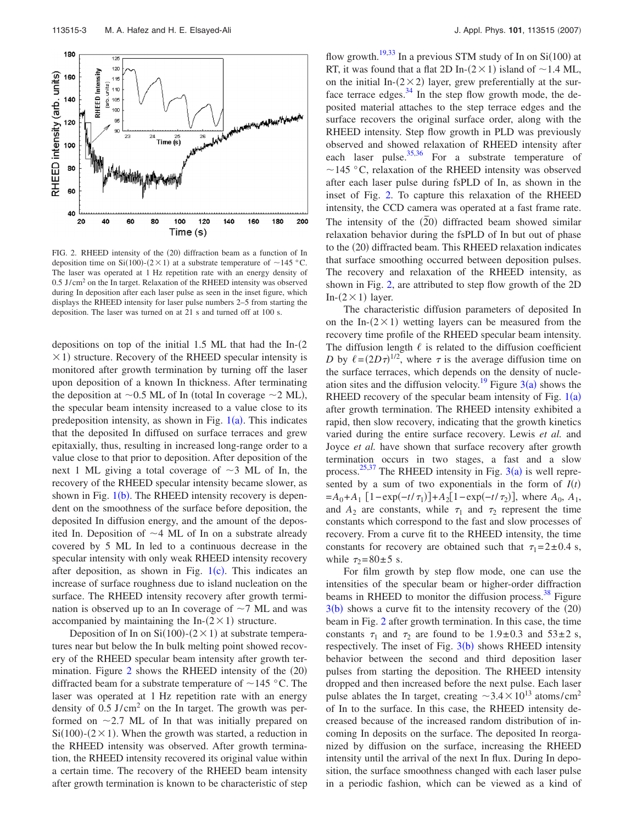<span id="page-3-0"></span>

FIG. 2. RHEED intensity of the (20) diffraction beam as a function of In deposition time on Si(100)-(2 × 1) at a substrate temperature of  $\sim$ 145 °C. The laser was operated at 1 Hz repetition rate with an energy density of  $0.5$  J/cm<sup>2</sup> on the In target. Relaxation of the RHEED intensity was observed during In deposition after each laser pulse as seen in the inset figure, which displays the RHEED intensity for laser pulse numbers 2–5 from starting the deposition. The laser was turned on at 21 s and turned off at 100 s.

depositions on top of the initial 1.5 ML that had the  $In-(2)$  $\times$  1) structure. Recovery of the RHEED specular intensity is monitored after growth termination by turning off the laser upon deposition of a known In thickness. After terminating the deposition at  $\sim 0.5$  ML of In (total In coverage  $\sim 2$  ML), the specular beam intensity increased to a value close to its predeposition intensity, as shown in Fig.  $1(a)$  $1(a)$ . This indicates that the deposited In diffused on surface terraces and grew epitaxially, thus, resulting in increased long-range order to a value close to that prior to deposition. After deposition of the next 1 ML giving a total coverage of  $\sim$ 3 ML of In, the recovery of the RHEED specular intensity became slower, as shown in Fig. [1](#page-2-0)(b). The RHEED intensity recovery is dependent on the smoothness of the surface before deposition, the deposited In diffusion energy, and the amount of the deposited In. Deposition of  $\sim$  4 ML of In on a substrate already covered by 5 ML In led to a continuous decrease in the specular intensity with only weak RHEED intensity recovery after deposition, as shown in Fig.  $1(c)$  $1(c)$ . This indicates an increase of surface roughness due to island nucleation on the surface. The RHEED intensity recovery after growth termination is observed up to an In coverage of  $\sim$  7 ML and was accompanied by maintaining the In- $(2 \times 1)$  structure.

Deposition of In on  $Si(100)$ - $(2 \times 1)$  at substrate temperatures near but below the In bulk melting point showed recovery of the RHEED specular beam intensity after growth termination. Figure  $2$  shows the RHEED intensity of the  $(20)$ diffracted beam for a substrate temperature of  $\sim$  145 °C. The laser was operated at 1 Hz repetition rate with an energy density of  $0.5$  J/cm<sup>2</sup> on the In target. The growth was performed on  $\sim$  2.7 ML of In that was initially prepared on  $Si(100)$ - $(2 \times 1)$ . When the growth was started, a reduction in the RHEED intensity was observed. After growth termination, the RHEED intensity recovered its original value within a certain time. The recovery of the RHEED beam intensity after growth termination is known to be characteristic of step

flow growth.<sup>19,[33](#page-9-23)</sup> In a previous STM study of In on  $Si(100)$  at RT, it was found that a flat 2D In- $(2 \times 1)$  island of  $\sim$  1.4 ML, on the initial In- $(2 \times 2)$  layer, grew preferentially at the surface terrace edges. $34$  In the step flow growth mode, the deposited material attaches to the step terrace edges and the surface recovers the original surface order, along with the RHEED intensity. Step flow growth in PLD was previously observed and showed relaxation of RHEED intensity after each laser pulse. $35,36$  $35,36$  For a substrate temperature of  $\sim$ 145 °C, relaxation of the RHEED intensity was observed after each laser pulse during fsPLD of In, as shown in the inset of Fig. [2.](#page-3-0) To capture this relaxation of the RHEED intensity, the CCD camera was operated at a fast frame rate. The intensity of the  $(20)$  diffracted beam showed similar relaxation behavior during the fsPLD of In but out of phase to the (20) diffracted beam. This RHEED relaxation indicates that surface smoothing occurred between deposition pulses. The recovery and relaxation of the RHEED intensity, as shown in Fig. [2,](#page-3-0) are attributed to step flow growth of the 2D In- $(2 \times 1)$  layer.

The characteristic diffusion parameters of deposited In on the In- $(2 \times 1)$  wetting layers can be measured from the recovery time profile of the RHEED specular beam intensity. The diffusion length  $\ell$  is related to the diffusion coefficient *D* by  $\ell = (2D\tau)^{1/2}$ , where  $\tau$  is the average diffusion time on the surface terraces, which depends on the density of nucleation sites and the diffusion velocity.<sup>19</sup> Figure  $3(a)$  $3(a)$  shows the RHEED recovery of the specular beam intensity of Fig.  $1(a)$  $1(a)$ after growth termination. The RHEED intensity exhibited a rapid, then slow recovery, indicating that the growth kinetics varied during the entire surface recovery. Lewis *et al.* and Joyce *et al.* have shown that surface recovery after growth termination occurs in two stages, a fast and a slow process.<sup>[25,](#page-9-27)[37](#page-9-28)</sup> The RHEED intensity in Fig.  $3(a)$  $3(a)$  is well represented by a sum of two exponentials in the form of  $I(t)$  $=A_0+A_1$  [1−exp(*-t*/ $\tau_1$ )]+ $A_2$ [1−exp(*-t*/ $\tau_2$ )], where  $A_0$ ,  $A_1$ , and  $A_2$  are constants, while  $\tau_1$  and  $\tau_2$  represent the time constants which correspond to the fast and slow processes of recovery. From a curve fit to the RHEED intensity, the time constants for recovery are obtained such that  $\tau_1 = 2 \pm 0.4$  s, while  $\tau_2 = 80 \pm 5$  s.

For film growth by step flow mode, one can use the intensities of the specular beam or higher-order diffraction beams in RHEED to monitor the diffusion process. $38$  Figure  $3(b)$  $3(b)$  shows a curve fit to the intensity recovery of the  $(20)$ beam in Fig. [2](#page-3-0) after growth termination. In this case, the time constants  $\tau_1$  and  $\tau_2$  are found to be 1.9±0.3 and 53±2 s, respectively. The inset of Fig.  $3(b)$  $3(b)$  shows RHEED intensity behavior between the second and third deposition laser pulses from starting the deposition. The RHEED intensity dropped and then increased before the next pulse. Each laser pulse ablates the In target, creating  $\sim$ 3.4 $\times$ 10<sup>13</sup> atoms/cm<sup>2</sup> of In to the surface. In this case, the RHEED intensity decreased because of the increased random distribution of incoming In deposits on the surface. The deposited In reorganized by diffusion on the surface, increasing the RHEED intensity until the arrival of the next In flux. During In deposition, the surface smoothness changed with each laser pulse in a periodic fashion, which can be viewed as a kind of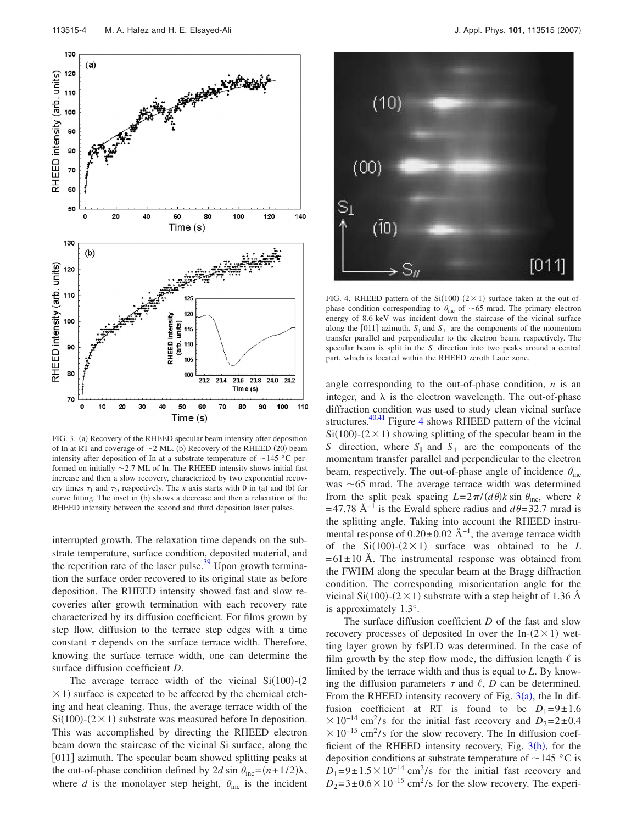<span id="page-4-0"></span>

FIG. 3. (a) Recovery of the RHEED specular beam intensity after deposition of In at RT and coverage of  $\sim$  2 ML. (b) Recovery of the RHEED (20) beam intensity after deposition of In at a substrate temperature of  $\sim$  145 °C performed on initially  $\sim$  2.7 ML of In. The RHEED intensity shows initial fast increase and then a slow recovery, characterized by two exponential recovery times  $\tau_1$  and  $\tau_2$ , respectively. The *x* axis starts with 0 in (a) and (b) for curve fitting. The inset in (b) shows a decrease and then a relaxation of the RHEED intensity between the second and third deposition laser pulses.

interrupted growth. The relaxation time depends on the substrate temperature, surface condition, deposited material, and the repetition rate of the laser pulse. $39$  Upon growth termination the surface order recovered to its original state as before deposition. The RHEED intensity showed fast and slow recoveries after growth termination with each recovery rate characterized by its diffusion coefficient. For films grown by step flow, diffusion to the terrace step edges with a time constant  $\tau$  depends on the surface terrace width. Therefore, knowing the surface terrace width, one can determine the surface diffusion coefficient *D*.

The average terrace width of the vicinal  $Si(100)$ - $(2)$  $\times$  1) surface is expected to be affected by the chemical etching and heat cleaning. Thus, the average terrace width of the  $Si(100)$ - $(2 \times 1)$  substrate was measured before In deposition. This was accomplished by directing the RHEED electron beam down the staircase of the vicinal Si surface, along the [011] azimuth. The specular beam showed splitting peaks at the out-of-phase condition defined by 2*d* sin  $\theta_{\text{inc}} = (n + 1/2)\lambda$ , where *d* is the monolayer step height,  $\theta_{inc}$  is the incident

<span id="page-4-1"></span>

FIG. 4. RHEED pattern of the  $Si(100)-(2\times1)$  surface taken at the out-ofphase condition corresponding to  $\theta_{\text{inc}}$  of ~65 mrad. The primary electron energy of 8.6 keV was incident down the staircase of the vicinal surface along the [011] azimuth.  $S_{\parallel}$  and  $S_{\perp}$  are the components of the momentum transfer parallel and perpendicular to the electron beam, respectively. The specular beam is split in the  $S_{\parallel}$  direction into two peaks around a central part, which is located within the RHEED zeroth Laue zone.

angle corresponding to the out-of-phase condition, *n* is an integer, and  $\lambda$  is the electron wavelength. The out-of-phase diffraction condition was used to study clean vicinal surface structures.<sup>40[,41](#page-9-32)</sup> Figure [4](#page-4-1) shows RHEED pattern of the vicinal  $Si(100)$ - $(2 \times 1)$  showing splitting of the specular beam in the  $S_{\parallel}$  direction, where  $S_{\parallel}$  and  $S_{\perp}$  are the components of the momentum transfer parallel and perpendicular to the electron beam, respectively. The out-of-phase angle of incidence  $\theta_{\text{inc}}$ was  $\sim$  65 mrad. The average terrace width was determined from the split peak spacing  $L = 2\pi/(d\theta)k \sin \theta_{\text{inc}}$ , where *k*  $= 47.78$  Å<sup>-1</sup> is the Ewald sphere radius and  $d\theta = 32.7$  mrad is the splitting angle. Taking into account the RHEED instrumental response of  $0.20 \pm 0.02$  Å<sup>-1</sup>, the average terrace width of the  $Si(100)$ - $(2 \times 1)$  surface was obtained to be *L*  $= 61 \pm 10$  Å. The instrumental response was obtained from the FWHM along the specular beam at the Bragg diffraction condition. The corresponding misorientation angle for the vicinal Si(100)-(2  $\times$  1) substrate with a step height of 1.36 Å is approximately 1.3°.

The surface diffusion coefficient *D* of the fast and slow recovery processes of deposited In over the In- $(2 \times 1)$  wetting layer grown by fsPLD was determined. In the case of film growth by the step flow mode, the diffusion length  $\ell$  is limited by the terrace width and thus is equal to *L*. By knowing the diffusion parameters  $\tau$  and  $\ell$ , *D* can be determined. From the RHEED intensity recovery of Fig.  $3(a)$  $3(a)$ , the In diffusion coefficient at RT is found to be  $D_1=9\pm1.6$  $\times 10^{-14}$  cm<sup>2</sup>/s for the initial fast recovery and  $D_2=2\pm 0.4$  $\times 10^{-15}$  cm<sup>2</sup>/s for the slow recovery. The In diffusion coefficient of the RHEED intensity recovery, Fig.  $3(b)$  $3(b)$ , for the deposition conditions at substrate temperature of  $\sim$  145 °C is  $D_1=9\pm1.5\times10^{-14}$  cm<sup>2</sup>/s for the initial fast recovery and  $D_2 = 3 \pm 0.6 \times 10^{-15}$  cm<sup>2</sup>/s for the slow recovery. The experi-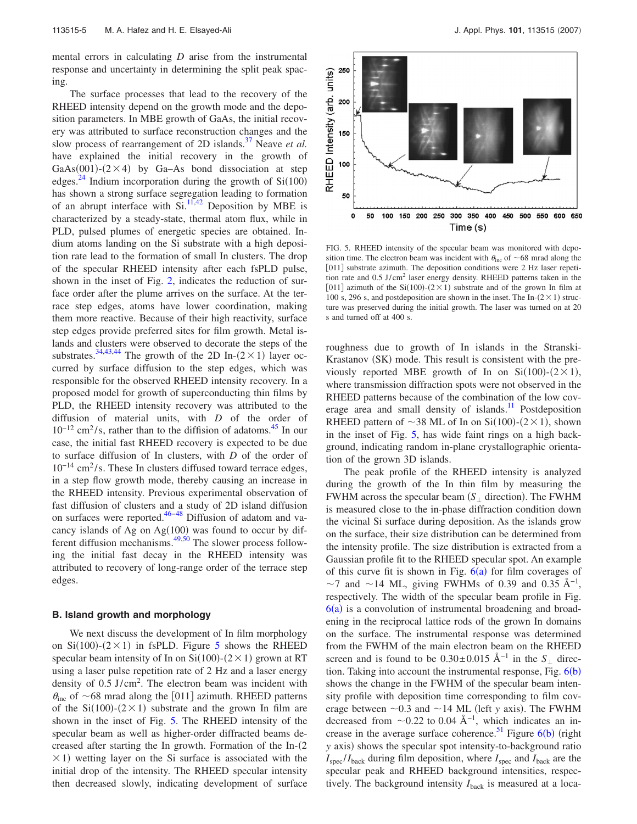mental errors in calculating *D* arise from the instrumental response and uncertainty in determining the split peak spacing.

The surface processes that lead to the recovery of the RHEED intensity depend on the growth mode and the deposition parameters. In MBE growth of GaAs, the initial recovery was attributed to surface reconstruction changes and the slow process of rearrangement of 2D islands.<sup>37</sup> Neave *et al.* have explained the initial recovery in the growth of GaAs(001)- $(2 \times 4)$  by Ga-As bond dissociation at step edges.<sup>24</sup> Indium incorporation during the growth of  $Si(100)$ has shown a strong surface segregation leading to formation of an abrupt interface with  $Si^{11,42}$  $Si^{11,42}$  $Si^{11,42}$  Deposition by MBE is characterized by a steady-state, thermal atom flux, while in PLD, pulsed plumes of energetic species are obtained. Indium atoms landing on the Si substrate with a high deposition rate lead to the formation of small In clusters. The drop of the specular RHEED intensity after each fsPLD pulse, shown in the inset of Fig. [2,](#page-3-0) indicates the reduction of surface order after the plume arrives on the surface. At the terrace step edges, atoms have lower coordination, making them more reactive. Because of their high reactivity, surface step edges provide preferred sites for film growth. Metal islands and clusters were observed to decorate the steps of the substrates.<sup>34,[43](#page-9-35)[,44](#page-9-36)</sup> The growth of the 2D In- $(2 \times 1)$  layer occurred by surface diffusion to the step edges, which was responsible for the observed RHEED intensity recovery. In a proposed model for growth of superconducting thin films by PLD, the RHEED intensity recovery was attributed to the diffusion of material units, with *D* of the order of  $10^{-12}$  cm<sup>2</sup>/s, rather than to the diffision of adatoms.<sup>45</sup> In our case, the initial fast RHEED recovery is expected to be due to surface diffusion of In clusters, with *D* of the order of  $10^{-14}$  cm<sup>2</sup>/s. These In clusters diffused toward terrace edges, in a step flow growth mode, thereby causing an increase in the RHEED intensity. Previous experimental observation of fast diffusion of clusters and a study of 2D island diffusion on surfaces were reported. $46-48$  $46-48$  Diffusion of adatom and vacancy islands of Ag on  $Ag(100)$  was found to occur by different diffusion mechanisms. $49,50$  $49,50$  The slower process following the initial fast decay in the RHEED intensity was attributed to recovery of long-range order of the terrace step edges.

#### **B. Island growth and morphology**

We next discuss the development of In film morphology on Si(100)-( $2 \times 1$ ) in fsPLD. Figure [5](#page-5-0) shows the RHEED specular beam intensity of In on  $Si(100)-(2\times1)$  grown at RT using a laser pulse repetition rate of 2 Hz and a laser energy density of 0.5 J/cm<sup>2</sup>. The electron beam was incident with  $\theta_{\text{inc}}$  of ~68 mrad along the [011] azimuth. RHEED patterns of the Si(100)-( $2 \times 1$ ) substrate and the grown In film are shown in the inset of Fig. [5.](#page-5-0) The RHEED intensity of the specular beam as well as higher-order diffracted beams decreased after starting the In growth. Formation of the  $In-(2)$  $\times$  1) wetting layer on the Si surface is associated with the initial drop of the intensity. The RHEED specular intensity then decreased slowly, indicating development of surface

<span id="page-5-0"></span>

FIG. 5. RHEED intensity of the specular beam was monitored with deposition time. The electron beam was incident with  $\theta_{inc}$  of ~68 mrad along the [011] substrate azimuth. The deposition conditions were 2 Hz laser repetition rate and 0.5 J/cm2 laser energy density. RHEED patterns taken in the [011] azimuth of the Si(100)-( $2 \times 1$ ) substrate and of the grown In film at 100 s, 296 s, and postdeposition are shown in the inset. The In- $(2 \times 1)$  structure was preserved during the initial growth. The laser was turned on at 20 s and turned off at 400 s.

roughness due to growth of In islands in the Stranski-Krastanov (SK) mode. This result is consistent with the previously reported MBE growth of In on  $Si(100)-(2\times1)$ , where transmission diffraction spots were not observed in the RHEED patterns because of the combination of the low coverage area and small density of islands.<sup>11</sup> Postdeposition RHEED pattern of  $\sim$ 38 ML of In on Si(100)-(2×1), shown in the inset of Fig. [5,](#page-5-0) has wide faint rings on a high background, indicating random in-plane crystallographic orientation of the grown 3D islands.

The peak profile of the RHEED intensity is analyzed during the growth of the In thin film by measuring the FWHM across the specular beam  $(S_{\perp}$  direction). The FWHM is measured close to the in-phase diffraction condition down the vicinal Si surface during deposition. As the islands grow on the surface, their size distribution can be determined from the intensity profile. The size distribution is extracted from a Gaussian profile fit to the RHEED specular spot. An example of this curve fit is shown in Fig.  $6(a)$  $6(a)$  for film coverages of  $\sim$ 7 and  $\sim$ 14 ML, giving FWHMs of 0.39 and 0.35 Å<sup>-1</sup>, respectively. The width of the specular beam profile in Fig.  $6(a)$  $6(a)$  is a convolution of instrumental broadening and broadening in the reciprocal lattice rods of the grown In domains on the surface. The instrumental response was determined from the FWHM of the main electron beam on the RHEED screen and is found to be  $0.30 \pm 0.015$  Å<sup>-1</sup> in the *S*<sub>⊥</sub> direction. Taking into account the instrumental response, Fig.  $6(b)$  $6(b)$ shows the change in the FWHM of the specular beam intensity profile with deposition time corresponding to film coverage between  $\sim 0.3$  and  $\sim 14$  ML (left *y* axis). The FWHM decreased from  $\sim$ 0.22 to 0.04 Å<sup>-1</sup>, which indicates an increase in the average surface coherence.<sup>51</sup> Figure  $6(b)$  $6(b)$  (right *y* axis) shows the specular spot intensity-to-background ratio  $I_{\text{spec}}/I_{\text{back}}$  during film deposition, where  $I_{\text{spec}}$  and  $I_{\text{back}}$  are the specular peak and RHEED background intensities, respectively. The background intensity  $I_{\text{back}}$  is measured at a loca-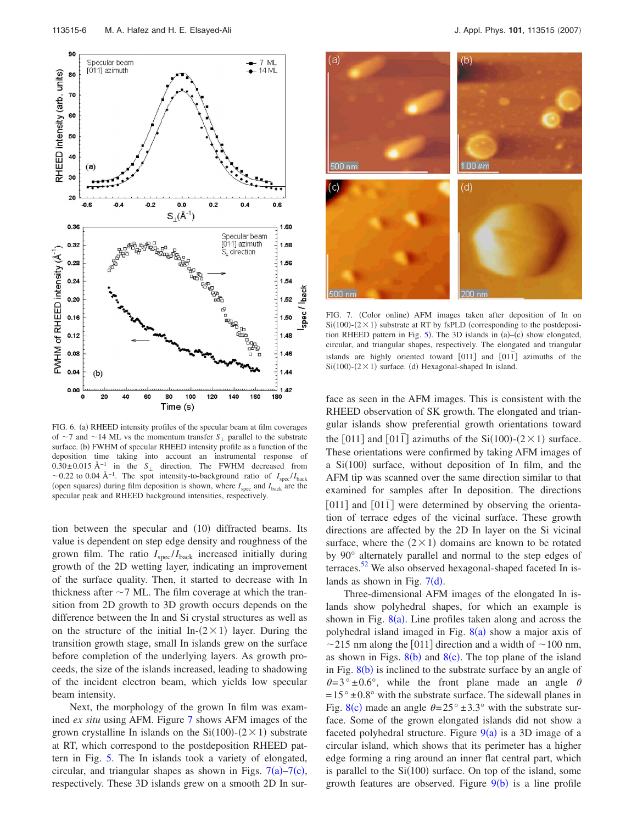<span id="page-6-0"></span>

FIG. 6. (a) RHEED intensity profiles of the specular beam at film coverages of  $\sim$ 7 and  $\sim$ 14 ML vs the momentum transfer *S*<sub>|</sub> parallel to the substrate surface. (b) FWHM of specular RHEED intensity profile as a function of the deposition time taking into account an instrumental response of 0.30±0.015 Å<sup>-1</sup> in the *S*<sub>⊥</sub> direction. The FWHM decreased from  $\sim$ 0.22 to 0.04 Å<sup>-1</sup>. The spot intensity-to-background ratio of *I*<sub>spec</sub>/*I*<sub>back</sub> (open squares) during film deposition is shown, where  $I_{\text{spec}}$  and  $I_{\text{back}}$  are the specular peak and RHEED background intensities, respectively.

tion between the specular and (10) diffracted beams. Its value is dependent on step edge density and roughness of the grown film. The ratio  $I_{\text{spec}}/I_{\text{back}}$  increased initially during growth of the 2D wetting layer, indicating an improvement of the surface quality. Then, it started to decrease with In thickness after  $\sim$  7 ML. The film coverage at which the transition from 2D growth to 3D growth occurs depends on the difference between the In and Si crystal structures as well as on the structure of the initial In- $(2 \times 1)$  layer. During the transition growth stage, small In islands grew on the surface before completion of the underlying layers. As growth proceeds, the size of the islands increased, leading to shadowing of the incident electron beam, which yields low specular beam intensity.

Next, the morphology of the grown In film was examined *ex situ* using AFM. Figure [7](#page-6-1) shows AFM images of the grown crystalline In islands on the  $Si(100)$ - $(2 \times 1)$  substrate at RT, which correspond to the postdeposition RHEED pattern in Fig. [5.](#page-5-0) The In islands took a variety of elongated, circular, and triangular shapes as shown in Figs.  $7(a) - 7(c)$  $7(a) - 7(c)$ , respectively. These 3D islands grew on a smooth 2D In sur-

<span id="page-6-1"></span>

FIG. 7. (Color online) AFM images taken after deposition of In on  $Si(100)$ - $(2 \times 1)$  substrate at RT by fsPLD (corresponding to the postdeposition RHEED pattern in Fig.  $5$ ). The 3D islands in (a)–(c) show elongated, circular, and triangular shapes, respectively. The elongated and triangular islands are highly oriented toward  $\lceil 011 \rceil$  and  $\lceil 011 \rceil$  azimuths of the  $Si(100)$ - $(2 \times 1)$  surface. (d) Hexagonal-shaped In island.

face as seen in the AFM images. This is consistent with the RHEED observation of SK growth. The elongated and triangular islands show preferential growth orientations toward the  $[011]$  and  $[01\bar{1}]$  azimuths of the Si $(100)$ - $(2 \times 1)$  surface. These orientations were confirmed by taking AFM images of a Si(100) surface, without deposition of In film, and the AFM tip was scanned over the same direction similar to that examined for samples after In deposition. The directions [011] and  $\lfloor 011 \rceil$  were determined by observing the orientation of terrace edges of the vicinal surface. These growth directions are affected by the 2D In layer on the Si vicinal surface, where the  $(2 \times 1)$  domains are known to be rotated by 90° alternately parallel and normal to the step edges of terraces. $52$  We also observed hexagonal-shaped faceted In islands as shown in Fig.  $7(d)$  $7(d)$ .

Three-dimensional AFM images of the elongated In islands show polyhedral shapes, for which an example is shown in Fig.  $8(a)$  $8(a)$ . Line profiles taken along and across the polyhedral island imaged in Fig. [8](#page-7-0)(a) show a major axis of  $\sim$ 215 nm along the [011] direction and a width of  $\sim$ 100 nm, as shown in Figs.  $8(b)$  $8(b)$  and  $8(c)$ . The top plane of the island in Fig.  $8(b)$  $8(b)$  is inclined to the substrate surface by an angle of  $\theta = 3^{\circ} \pm 0.6^{\circ}$ , while the front plane made an angle  $\theta$  $= 15^{\circ} \pm 0.8^{\circ}$  with the substrate surface. The sidewall planes in Fig. [8](#page-7-0)(c) made an angle  $\theta = 25^\circ \pm 3.3^\circ$  with the substrate surface. Some of the grown elongated islands did not show a faceted polyhedral structure. Figure  $9(a)$  $9(a)$  is a 3D image of a circular island, which shows that its perimeter has a higher edge forming a ring around an inner flat central part, which is parallel to the  $Si(100)$  surface. On top of the island, some growth features are observed. Figure  $9(b)$  $9(b)$  is a line profile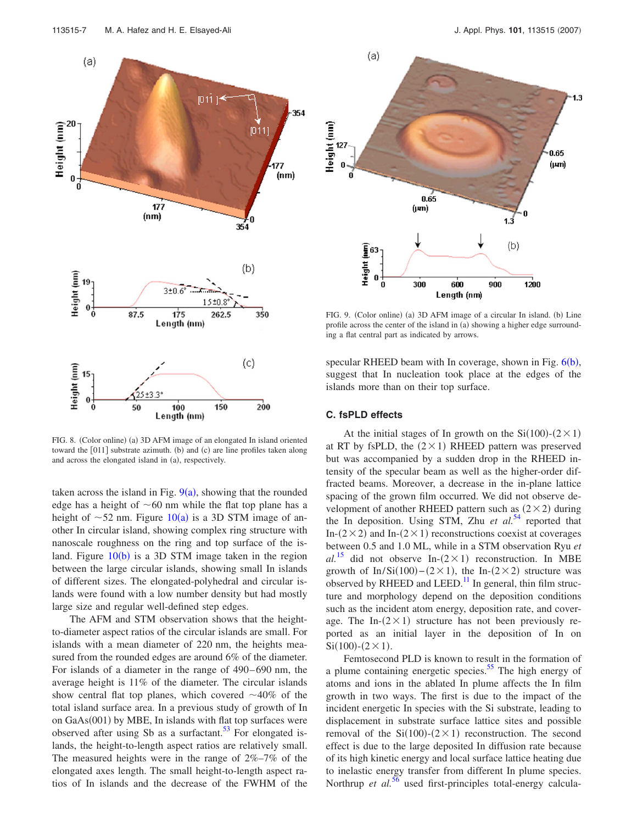<span id="page-7-0"></span>

FIG. 8. (Color online) (a) 3D AFM image of an elongated In island oriented toward the [011] substrate azimuth. (b) and (c) are line profiles taken along and across the elongated island in (a), respectively.

taken across the island in Fig.  $9(a)$  $9(a)$ , showing that the rounded edge has a height of  $\sim 60$  nm while the flat top plane has a height of  $\sim$ 52 nm. Figure [10](#page-8-0)(a) is a 3D STM image of another In circular island, showing complex ring structure with nanoscale roughness on the ring and top surface of the island. Figure  $10(b)$  $10(b)$  is a 3D STM image taken in the region between the large circular islands, showing small In islands of different sizes. The elongated-polyhedral and circular islands were found with a low number density but had mostly large size and regular well-defined step edges.

The AFM and STM observation shows that the heightto-diameter aspect ratios of the circular islands are small. For islands with a mean diameter of 220 nm, the heights measured from the rounded edges are around 6% of the diameter. For islands of a diameter in the range of 490–690 nm, the average height is 11% of the diameter. The circular islands show central flat top planes, which covered  $\sim$ 40% of the total island surface area. In a previous study of growth of In on GaAs(001) by MBE, In islands with flat top surfaces were observed after using Sb as a surfactant.<sup>53</sup> For elongated islands, the height-to-length aspect ratios are relatively small. The measured heights were in the range of 2%–7% of the elongated axes length. The small height-to-length aspect ratios of In islands and the decrease of the FWHM of the

<span id="page-7-1"></span>

FIG. 9. (Color online) (a) 3D AFM image of a circular In island. (b) Line profile across the center of the island in (a) showing a higher edge surrounding a flat central part as indicated by arrows.

specular RHEED beam with In coverage, shown in Fig. [6](#page-6-0)(b), suggest that In nucleation took place at the edges of the islands more than on their top surface.

#### **C. fsPLD effects**

At the initial stages of In growth on the  $Si(100)-(2\times1)$ at RT by fsPLD, the  $(2 \times 1)$  RHEED pattern was preserved but was accompanied by a sudden drop in the RHEED intensity of the specular beam as well as the higher-order diffracted beams. Moreover, a decrease in the in-plane lattice spacing of the grown film occurred. We did not observe development of another RHEED pattern such as  $(2 \times 2)$  during the In deposition. Using STM, Zhu *et al.*<sup>[54](#page-10-6)</sup> reported that In- $(2 \times 2)$  and In- $(2 \times 1)$  reconstructions coexist at coverages between 0.5 and 1.0 ML, while in a STM observation Ryu *et*  $al.^{15}$  $al.^{15}$  $al.^{15}$  did not observe In- $(2 \times 1)$  reconstruction. In MBE growth of In/Si(100)–(2×1), the In-(2×2) structure was observed by RHEED and LEED.<sup>11</sup> In general, thin film structure and morphology depend on the deposition conditions such as the incident atom energy, deposition rate, and coverage. The In- $(2 \times 1)$  structure has not been previously reported as an initial layer in the deposition of In on  $Si(100) - (2 \times 1)$ .

Femtosecond PLD is known to result in the formation of a plume containing energetic species.<sup>55</sup> The high energy of atoms and ions in the ablated In plume affects the In film growth in two ways. The first is due to the impact of the incident energetic In species with the Si substrate, leading to displacement in substrate surface lattice sites and possible removal of the  $Si(100)$ - $(2 \times 1)$  reconstruction. The second effect is due to the large deposited In diffusion rate because of its high kinetic energy and local surface lattice heating due to inelastic energy transfer from different In plume species. Northrup *et al.*<sup>[56](#page-10-8)</sup> used first-principles total-energy calcula-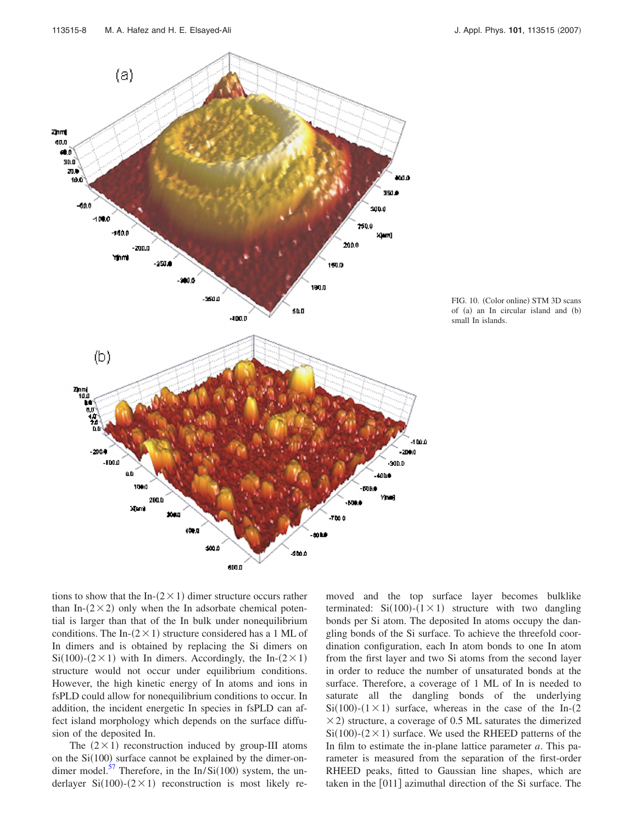<span id="page-8-0"></span>



tions to show that the In- $(2 \times 1)$  dimer structure occurs rather than In- $(2 \times 2)$  only when the In adsorbate chemical potential is larger than that of the In bulk under nonequilibrium conditions. The In- $(2 \times 1)$  structure considered has a 1 ML of In dimers and is obtained by replacing the Si dimers on  $Si(100)$ - $(2 \times 1)$  with In dimers. Accordingly, the In- $(2 \times 1)$ structure would not occur under equilibrium conditions. However, the high kinetic energy of In atoms and ions in fsPLD could allow for nonequilibrium conditions to occur. In addition, the incident energetic In species in fsPLD can affect island morphology which depends on the surface diffusion of the deposited In.

The  $(2 \times 1)$  reconstruction induced by group-III atoms on the  $Si(100)$  surface cannot be explained by the dimer-ondimer model.<sup>57</sup> Therefore, in the In/Si(100) system, the underlayer Si(100)-( $2 \times 1$ ) reconstruction is most likely removed and the top surface layer becomes bulklike terminated:  $Si(100) - (1 \times 1)$  structure with two dangling bonds per Si atom. The deposited In atoms occupy the dangling bonds of the Si surface. To achieve the threefold coordination configuration, each In atom bonds to one In atom from the first layer and two Si atoms from the second layer in order to reduce the number of unsaturated bonds at the surface. Therefore, a coverage of 1 ML of In is needed to saturate all the dangling bonds of the underlying  $Si(100)$ - $(1 \times 1)$  surface, whereas in the case of the In- $(2)$  $\times$  2) structure, a coverage of 0.5 ML saturates the dimerized  $Si(100)$ - $(2 \times 1)$  surface. We used the RHEED patterns of the In film to estimate the in-plane lattice parameter *a*. This parameter is measured from the separation of the first-order RHEED peaks, fitted to Gaussian line shapes, which are taken in the  $[011]$  azimuthal direction of the Si surface. The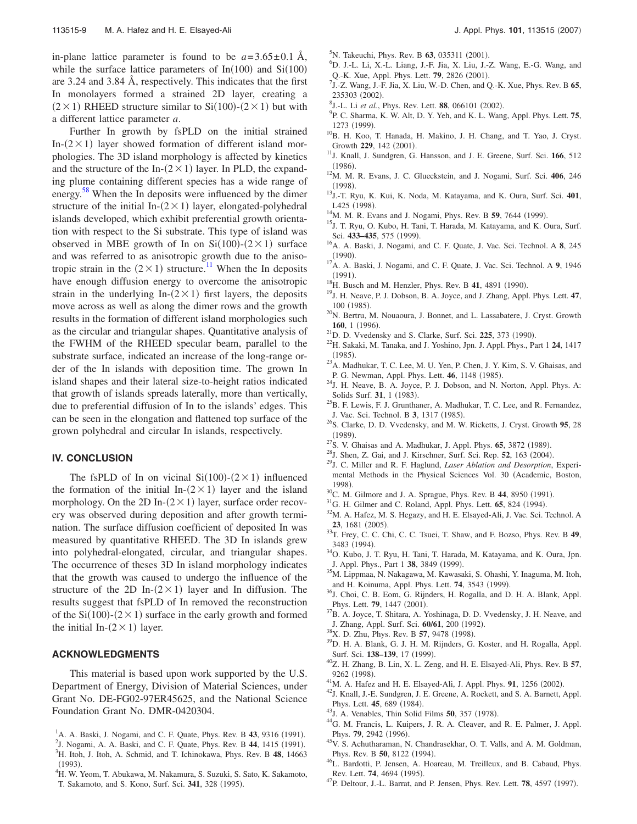in-plane lattice parameter is found to be  $a = 3.65 \pm 0.1$  Å, while the surface lattice parameters of  $In(100)$  and  $Si(100)$ are 3.24 and 3.84 Å, respectively. This indicates that the first In monolayers formed a strained 2D layer, creating a  $(2 \times 1)$  RHEED structure similar to Si $(100)-(2 \times 1)$  but with a different lattice parameter *a*.

Further In growth by fsPLD on the initial strained In- $(2 \times 1)$  layer showed formation of different island morphologies. The 3D island morphology is affected by kinetics and the structure of the In- $(2 \times 1)$  layer. In PLD, the expanding plume containing different species has a wide range of energy.<sup>[58](#page-10-10)</sup> When the In deposits were influenced by the dimer structure of the initial In- $(2 \times 1)$  layer, elongated-polyhedral islands developed, which exhibit preferential growth orientation with respect to the Si substrate. This type of island was observed in MBE growth of In on  $Si(100)-(2\times1)$  surface and was referred to as anisotropic growth due to the anisotropic strain in the  $(2 \times 1)$  structure.<sup>11</sup> When the In deposits have enough diffusion energy to overcome the anisotropic strain in the underlying In- $(2 \times 1)$  first layers, the deposits move across as well as along the dimer rows and the growth results in the formation of different island morphologies such as the circular and triangular shapes. Quantitative analysis of the FWHM of the RHEED specular beam, parallel to the substrate surface, indicated an increase of the long-range order of the In islands with deposition time. The grown In island shapes and their lateral size-to-height ratios indicated that growth of islands spreads laterally, more than vertically, due to preferential diffusion of In to the islands' edges. This can be seen in the elongation and flattened top surface of the grown polyhedral and circular In islands, respectively.

#### **IV. CONCLUSION**

The fsPLD of In on vicinal  $Si(100)-(2\times1)$  influenced the formation of the initial In- $(2 \times 1)$  layer and the island morphology. On the 2D In- $(2 \times 1)$  layer, surface order recovery was observed during deposition and after growth termination. The surface diffusion coefficient of deposited In was measured by quantitative RHEED. The 3D In islands grew into polyhedral-elongated, circular, and triangular shapes. The occurrence of theses 3D In island morphology indicates that the growth was caused to undergo the influence of the structure of the 2D In- $(2 \times 1)$  layer and In diffusion. The results suggest that fsPLD of In removed the reconstruction of the  $Si(100)$ - $(2 \times 1)$  surface in the early growth and formed the initial In- $(2 \times 1)$  layer.

#### **ACKNOWLEDGMENTS**

This material is based upon work supported by the U.S. Department of Energy, Division of Material Sciences, under Grant No. DE-FG02-97ER45625, and the National Science Foundation Grant No. DMR-0420304.

<span id="page-9-9"></span><span id="page-9-8"></span> $\frac{1}{2}$ J. Nogami, A. A. Baski, and C. F. Quate, Phys. Rev. B 44, 1415 (1991). H. Itoh, J. Itoh, A. Schmid, and T. Ichinokawa, Phys. Rev. B **48**, 14663

T. Sakamoto, and S. Kono, Surf. Sci. 341, 328 (1995).

<span id="page-9-12"></span> $(1993)$ .<br><sup>4</sup>H W Y <sup>4</sup>H. W. Yeom, T. Abukawa, M. Nakamura, S. Suzuki, S. Sato, K. Sakamoto,

- 
- $(1990).$
- $(1991).$
- <sup>18</sup>H. Busch and M. Henzler, Phys. Rev. B **41**, 4891 (1990).
- <span id="page-9-15"></span> $^{20}$ N. Bertru, M. Nouaoura, J. Bonnet, and L. Lassabatere, J. Cryst. Growth **160**, 1 (1996).
- <span id="page-9-16"></span><sup>21</sup>D. D. Vvedensky and S. Clarke, Surf. Sci. **225**, 373 (1990).
- . 22H. Sakaki, M. Tanaka, and J. Yoshino, Jpn. J. Appl. Phys., Part 1 **<sup>24</sup>**, 1417  $(1985)$ .
- $^{23}$ A. Madhukar, T. C. Lee, M. U. Yen, P. Chen, J. Y. Kim, S. V. Ghaisas, and P. G. Newman, Appl. Phys. Lett. **46**, 1148 (1985).
- <span id="page-9-33"></span> $24$ J. H. Neave, B. A. Joyce, P. J. Dobson, and N. Norton, Appl. Phys. A: Solids Surf. 31, 1 (1983).
- <span id="page-9-27"></span> $^{25}$ B. F. Lewis, F. J. Grunthaner, A. Madhukar, T. C. Lee, and R. Fernandez, J. Vac. Sci. Technol. B 3, 1317 (1985).
- . 26S. Clarke, D. D. Vvedensky, and M. W. Ricketts, J. Cryst. Growth **<sup>95</sup>**, 28  $(1989)$ .
- <span id="page-9-17"></span><sup>27</sup>S. V. Ghaisas and A. Madhukar, J. Appl. Phys. **65**, 3872 (1989).
- <span id="page-9-18"></span><sup>28</sup>J. Shen, Z. Gai, and J. Kirschner, Surf. Sci. Rep. **52**, 163 (2004).
- <span id="page-9-19"></span>. 29J. C. Miller and R. F. Haglund, *Laser Ablation and Desorption*, Experimental Methods in the Physical Sciences Vol. 30 (Academic, Boston, 1998).
- <span id="page-9-20"></span> $^{30}$ C. M. Gilmore and J. A. Sprague, Phys. Rev. B 44, 8950 (1991).
- <span id="page-9-21"></span><sup>31</sup>G. H. Gilmer and C. Roland, Appl. Phys. Lett. **65**, 824 (1994).
- <span id="page-9-22"></span><sup>32</sup>M. A. Hafez, M. S. Hegazy, and H. E. Elsayed-Ali, J. Vac. Sci. Technol. A 23, 1681 (2005).
- <span id="page-9-23"></span>. 33T. Frey, C. C. Chi, C. C. Tsuei, T. Shaw, and F. Bozso, Phys. Rev. B **<sup>49</sup>**, 3483 (1994).
- <span id="page-9-24"></span><sup>34</sup>O. Kubo, J. T. Ryu, H. Tani, T. Harada, M. Katayama, and K. Oura, Jpn. J. Appl. Phys., Part 1 38, 3849 (1999).
- <span id="page-9-25"></span>. 35M. Lippmaa, N. Nakagawa, M. Kawasaki, S. Ohashi, Y. Inaguma, M. Itoh, and H. Koinuma, Appl. Phys. Lett. **74**, 3543 (1999).
- <span id="page-9-26"></span><sup>36</sup>J. Choi, C. B. Eom, G. Rijnders, H. Rogalla, and D. H. A. Blank, Appl. Phys. Lett. **79**, 1447 (2001).
- <span id="page-9-28"></span><sup>37</sup>B. A. Joyce, T. Shitara, A. Yoshinaga, D. D. Vvedensky, J. H. Neave, and J. Zhang, Appl. Surf. Sci. 60/61, 200 (1992).
- <span id="page-9-29"></span><sup>38</sup>X. D. Zhu, Phys. Rev. B **57**, 9478 (1998).
- <span id="page-9-30"></span><sup>39</sup>D. H. A. Blank, G. J. H. M. Rijnders, G. Koster, and H. Rogalla, Appl. Surf. Sci. 138-139, 17 (1999).
- <span id="page-9-31"></span>. 40Z. H. Zhang, B. Lin, X. L. Zeng, and H. E. Elsayed-Ali, Phys. Rev. B **<sup>57</sup>**, 9262 (1998).
- <span id="page-9-32"></span><sup>41</sup>M. A. Hafez and H. E. Elsayed-Ali, J. Appl. Phys. **91**, 1256 (2002).
- <span id="page-9-34"></span><sup>42</sup>J. Knall, J.-E. Sundgren, J. E. Greene, A. Rockett, and S. A. Barnett, Appl. Phys. Lett. **45**, 689 (1984).
- <span id="page-9-35"></span><sup>43</sup>J. A. Venables, Thin Solid Films **50**, 357 (1978).
- <span id="page-9-36"></span><sup>44</sup>G. M. Francis, L. Kuipers, J. R. A. Cleaver, and R. E. Palmer, J. Appl. Phys. **79**, 2942 (1996).
- <span id="page-9-37"></span><sup>45</sup>V. S. Achutharaman, N. Chandrasekhar, O. T. Valls, and A. M. Goldman, Phys. Rev. B 50, 8122 (1994).
- <span id="page-9-38"></span><sup>46</sup>L. Bardotti, P. Jensen, A. Hoareau, M. Treilleux, and B. Cabaud, Phys. Rev. Lett. **74**, 4694 (1995). Rev. Lett. **74**, 4694 (1995).<br><sup>47</sup>P. Deltour, J.-L. Barrat, and P. Jensen, Phys. Rev. Lett. **78**, 4597 (1997).
- 
- <span id="page-9-1"></span><sup>5</sup>N. Takeuchi, Phys. Rev. B **63**, 035311 (2001).
- <span id="page-9-2"></span>D. J.-L. Li, X.-L. Liang, J.-F. Jia, X. Liu, J.-Z. Wang, E.-G. Wang, and Q.-K. Xue, Appl. Phys. Lett. **79**, 2826 (2001).
- J.-Z. Wang, J.-F. Jia, X. Liu, W.-D. Chen, and Q.-K. Xue, Phys. Rev. B **65**,  $235303$  (2002).
- <span id="page-9-3"></span><sup>8</sup>J.-L. Li *et al.*, Phys. Rev. Lett. **88**, 066101 (2002).
- <span id="page-9-4"></span>P. C. Sharma, K. W. Alt, D. Y. Yeh, and K. L. Wang, Appl. Phys. Lett. **75**, 1273 (1999).
- <span id="page-9-5"></span><sup>10</sup>B. H. Koo, T. Hanada, H. Makino, J. H. Chang, and T. Yao, J. Cryst. Growth 229, 142 (2001).
- <span id="page-9-6"></span><sup>11</sup>J. Knall, J. Sundgren, G. Hansson, and J. E. Greene, Surf. Sci. 166, 512  $(1986)$
- . 12M. M. R. Evans, J. C. Glueckstein, and J. Nogami, Surf. Sci. **<sup>406</sup>**, 246  $(1998).$
- . 13J.-T. Ryu, K. Kui, K. Noda, M. Katayama, and K. Oura, Surf. Sci. **<sup>401</sup>**, L425 (1998).
- <sup>14</sup>M. M. R. Evans and J. Nogami, Phys. Rev. B **59**, 7644 (1999).
- <span id="page-9-7"></span><sup>15</sup>J. T. Ryu, O. Kubo, H. Tani, T. Harada, M. Katayama, and K. Oura, Surf. Sci. 433-435, 575 (1999).
- <span id="page-9-10"></span><sup>16</sup>A. A. Baski, J. Nogami, and C. F. Quate, J. Vac. Sci. Technol. A 8, 245
- <span id="page-9-11"></span><sup>17</sup>A. A. Baski, J. Nogami, and C. F. Quate, J. Vac. Sci. Technol. A 9, 1946
- <span id="page-9-13"></span>
- <span id="page-9-14"></span>. 19J. H. Neave, P. J. Dobson, B. A. Joyce, and J. Zhang, Appl. Phys. Lett. **<sup>47</sup>**, 100 (1985).

<span id="page-9-0"></span><sup>&</sup>lt;sup>1</sup>A. A. Baski, J. Nogami, and C. F. Quate, Phys. Rev. B 43, 9316 (1991).